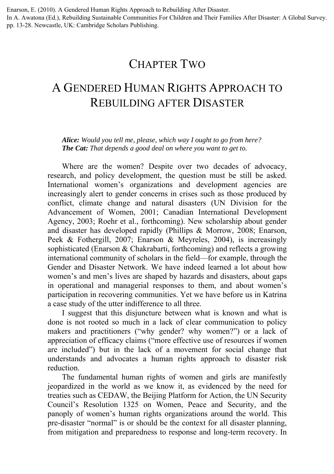Enarson, E. (2010). A Gendered Human Rights Approach to Rebuilding After Disaster.

In A. Awatona (Ed.), Rebuilding Sustainable Communities For Children and Their Families After Disaster: A Global Survey. pp. 13-28. Newcastle, UK: Cambridge Scholars Publishing.

# CHAPTER TWO

# A GENDERED HUMAN RIGHTS APPROACH TO REBUILDING AFTER DISASTER

*Alice: Would you tell me, please, which way I ought to go from here? The Cat: That depends a good deal on where you want to get to.* 

Where are the women? Despite over two decades of advocacy, research, and policy development, the question must be still be asked. International women's organizations and development agencies are increasingly alert to gender concerns in crises such as those produced by conflict, climate change and natural disasters (UN Division for the Advancement of Women, 2001; Canadian International Development Agency, 2003; Roehr et al., forthcoming). New scholarship about gender and disaster has developed rapidly (Phillips & Morrow, 2008; Enarson, Peek & Fothergill, 2007; Enarson & Meyreles, 2004), is increasingly sophisticated (Enarson & Chakrabarti, forthcoming) and reflects a growing international community of scholars in the field—for example, through the Gender and Disaster Network. We have indeed learned a lot about how women's and men's lives are shaped by hazards and disasters, about gaps in operational and managerial responses to them, and about women's participation in recovering communities. Yet we have before us in Katrina a case study of the utter indifference to all three.

I suggest that this disjuncture between what is known and what is done is not rooted so much in a lack of clear communication to policy makers and practitioners ("why gender? why women?") or a lack of appreciation of efficacy claims ("more effective use of resources if women are included") but in the lack of a movement for social change that understands and advocates a human rights approach to disaster risk reduction.

The fundamental human rights of women and girls are manifestly jeopardized in the world as we know it, as evidenced by the need for treaties such as CEDAW, the Beijing Platform for Action, the UN Security Council's Resolution 1325 on Women, Peace and Security, and the panoply of women's human rights organizations around the world. This pre-disaster "normal" is or should be the context for all disaster planning, from mitigation and preparedness to response and long-term recovery. In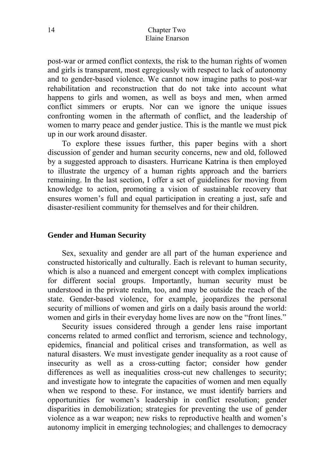post-war or armed conflict contexts, the risk to the human rights of women and girls is transparent, most egregiously with respect to lack of autonomy and to gender-based violence. We cannot now imagine paths to post-war rehabilitation and reconstruction that do not take into account what happens to girls and women, as well as boys and men, when armed conflict simmers or erupts. Nor can we ignore the unique issues confronting women in the aftermath of conflict, and the leadership of women to marry peace and gender justice. This is the mantle we must pick up in our work around disaster.

To explore these issues further, this paper begins with a short discussion of gender and human security concerns, new and old, followed by a suggested approach to disasters. Hurricane Katrina is then employed to illustrate the urgency of a human rights approach and the barriers remaining. In the last section, I offer a set of guidelines for moving from knowledge to action, promoting a vision of sustainable recovery that ensures women's full and equal participation in creating a just, safe and disaster-resilient community for themselves and for their children.

### **Gender and Human Security**

Sex, sexuality and gender are all part of the human experience and constructed historically and culturally. Each is relevant to human security, which is also a nuanced and emergent concept with complex implications for different social groups. Importantly, human security must be understood in the private realm, too, and may be outside the reach of the state. Gender-based violence, for example, jeopardizes the personal security of millions of women and girls on a daily basis around the world: women and girls in their everyday home lives are now on the "front lines."

Security issues considered through a gender lens raise important concerns related to armed conflict and terrorism, science and technology, epidemics, financial and political crises and transformation, as well as natural disasters. We must investigate gender inequality as a root cause of insecurity as well as a cross-cutting factor; consider how gender differences as well as inequalities cross-cut new challenges to security; and investigate how to integrate the capacities of women and men equally when we respond to these. For instance, we must identify barriers and opportunities for women's leadership in conflict resolution; gender disparities in demobilization; strategies for preventing the use of gender violence as a war weapon; new risks to reproductive health and women's autonomy implicit in emerging technologies; and challenges to democracy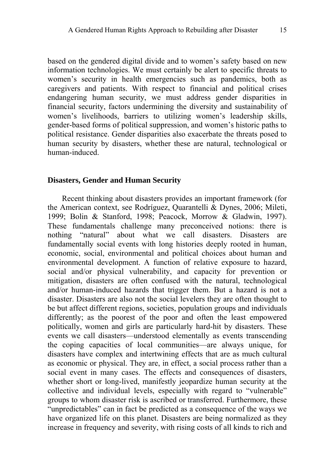based on the gendered digital divide and to women's safety based on new information technologies. We must certainly be alert to specific threats to women's security in health emergencies such as pandemics, both as caregivers and patients. With respect to financial and political crises endangering human security, we must address gender disparities in financial security, factors undermining the diversity and sustainability of women's livelihoods, barriers to utilizing women's leadership skills, gender-based forms of political suppression, and women's historic paths to political resistance. Gender disparities also exacerbate the threats posed to human security by disasters, whether these are natural, technological or human-induced.

#### **Disasters, Gender and Human Security**

Recent thinking about disasters provides an important framework (for the American context, see Rodríguez, Quarantelli & Dynes, 2006; Mileti, 1999; Bolin & Stanford, 1998; Peacock, Morrow & Gladwin, 1997). These fundamentals challenge many preconceived notions: there is nothing "natural" about what we call disasters. Disasters are fundamentally social events with long histories deeply rooted in human, economic, social, environmental and political choices about human and environmental development. A function of relative exposure to hazard, social and/or physical vulnerability, and capacity for prevention or mitigation, disasters are often confused with the natural, technological and/or human-induced hazards that trigger them. But a hazard is not a disaster. Disasters are also not the social levelers they are often thought to be but affect different regions, societies, population groups and individuals differently; as the poorest of the poor and often the least empowered politically, women and girls are particularly hard-hit by disasters. These events we call disasters—understood elementally as events transcending the coping capacities of local communities—are always unique, for disasters have complex and intertwining effects that are as much cultural as economic or physical. They are, in effect, a social process rather than a social event in many cases. The effects and consequences of disasters, whether short or long-lived, manifestly jeopardize human security at the collective and individual levels, especially with regard to "vulnerable" groups to whom disaster risk is ascribed or transferred. Furthermore, these "unpredictables" can in fact be predicted as a consequence of the ways we have organized life on this planet. Disasters are being normalized as they increase in frequency and severity, with rising costs of all kinds to rich and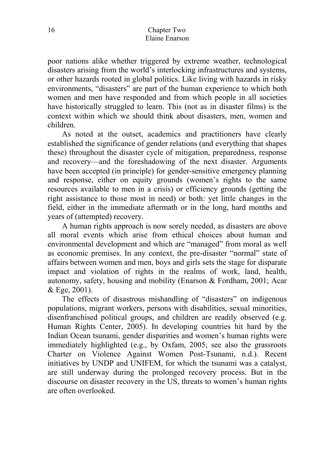poor nations alike whether triggered by extreme weather, technological disasters arising from the world's interlocking infrastructures and systems, or other hazards rooted in global politics. Like living with hazards in risky environments, "disasters" are part of the human experience to which both women and men have responded and from which people in all societies have historically struggled to learn. This (not as in disaster films) is the context within which we should think about disasters, men, women and children.

As noted at the outset, academics and practitioners have clearly established the significance of gender relations (and everything that shapes these) throughout the disaster cycle of mitigation, preparedness, response and recovery—and the foreshadowing of the next disaster. Arguments have been accepted (in principle) for gender-sensitive emergency planning and response, either on equity grounds (women's rights to the same resources available to men in a crisis) or efficiency grounds (getting the right assistance to those most in need) or both: yet little changes in the field, either in the immediate aftermath or in the long, hard months and years of (attempted) recovery.

A human rights approach is now sorely needed, as disasters are above all moral events which arise from ethical choices about human and environmental development and which are "managed" from moral as well as economic premises. In any context, the pre-disaster "normal" state of affairs between women and men, boys and girls sets the stage for disparate impact and violation of rights in the realms of work, land, health, autonomy, safety, housing and mobility (Enarson & Fordham, 2001; Acar & Ege, 2001).

The effects of disastrous mishandling of "disasters" on indigenous populations, migrant workers, persons with disabilities, sexual minorities, disenfranchised political groups, and children are readily observed (e.g. Human Rights Center, 2005). In developing countries hit hard by the Indian Ocean tsunami, gender disparities and women's human rights were immediately highlighted (e.g., by Oxfam, 2005; see also the grassroots Charter on Violence Against Women Post-Tsunami, n.d.). Recent initiatives by UNDP and UNIFEM, for which the tsunami was a catalyst, are still underway during the prolonged recovery process. But in the discourse on disaster recovery in the US, threats to women's human rights are often overlooked.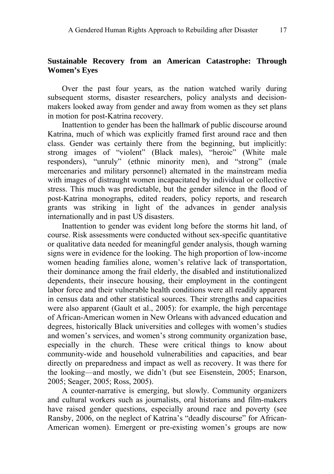### **Sustainable Recovery from an American Catastrophe: Through Women's Eyes**

Over the past four years, as the nation watched warily during subsequent storms, disaster researchers, policy analysts and decisionmakers looked away from gender and away from women as they set plans in motion for post-Katrina recovery.

Inattention to gender has been the hallmark of public discourse around Katrina, much of which was explicitly framed first around race and then class. Gender was certainly there from the beginning, but implicitly: strong images of "violent" (Black males), "heroic" (White male responders), "unruly" (ethnic minority men), and "strong" (male mercenaries and military personnel) alternated in the mainstream media with images of distraught women incapacitated by individual or collective stress. This much was predictable, but the gender silence in the flood of post-Katrina monographs, edited readers, policy reports, and research grants was striking in light of the advances in gender analysis internationally and in past US disasters.

Inattention to gender was evident long before the storms hit land, of course. Risk assessments were conducted without sex-specific quantitative or qualitative data needed for meaningful gender analysis, though warning signs were in evidence for the looking. The high proportion of low-income women heading families alone, women's relative lack of transportation, their dominance among the frail elderly, the disabled and institutionalized dependents, their insecure housing, their employment in the contingent labor force and their vulnerable health conditions were all readily apparent in census data and other statistical sources. Their strengths and capacities were also apparent (Gault et al., 2005): for example, the high percentage of African-American women in New Orleans with advanced education and degrees, historically Black universities and colleges with women's studies and women's services, and women's strong community organization base, especially in the church. These were critical things to know about community-wide and household vulnerabilities and capacities, and bear directly on preparedness and impact as well as recovery. It was there for the looking—and mostly, we didn't (but see Eisenstein, 2005; Enarson, 2005; Seager, 2005; Ross, 2005).

A counter-narrative is emerging, but slowly. Community organizers and cultural workers such as journalists, oral historians and film-makers have raised gender questions, especially around race and poverty (see Ransby, 2006, on the neglect of Katrina's "deadly discourse" for African-American women). Emergent or pre-existing women's groups are now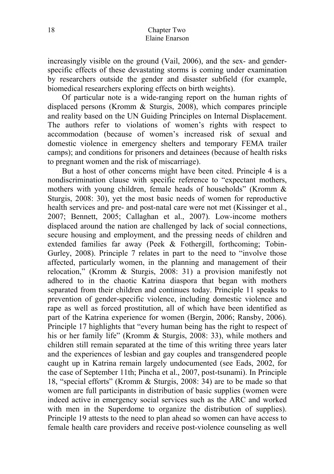increasingly visible on the ground (Vail, 2006), and the sex- and genderspecific effects of these devastating storms is coming under examination by researchers outside the gender and disaster subfield (for example, biomedical researchers exploring effects on birth weights).

Of particular note is a wide-ranging report on the human rights of displaced persons (Kromm & Sturgis, 2008), which compares principle and reality based on the UN Guiding Principles on Internal Displacement. The authors refer to violations of women's rights with respect to accommodation (because of women's increased risk of sexual and domestic violence in emergency shelters and temporary FEMA trailer camps); and conditions for prisoners and detainees (because of health risks to pregnant women and the risk of miscarriage).

But a host of other concerns might have been cited. Principle 4 is a nondiscrimination clause with specific reference to "expectant mothers, mothers with young children, female heads of households" (Kromm & Sturgis, 2008: 30), yet the most basic needs of women for reproductive health services and pre- and post-natal care were not met (Kissinger et al., 2007; Bennett, 2005; Callaghan et al., 2007). Low-income mothers displaced around the nation are challenged by lack of social connections, secure housing and employment, and the pressing needs of children and extended families far away (Peek & Fothergill, forthcoming; Tobin-Gurley, 2008). Principle 7 relates in part to the need to "involve those affected, particularly women, in the planning and management of their relocation," (Kromm & Sturgis, 2008: 31) a provision manifestly not adhered to in the chaotic Katrina diaspora that began with mothers separated from their children and continues today. Principle 11 speaks to prevention of gender-specific violence, including domestic violence and rape as well as forced prostitution, all of which have been identified as part of the Katrina experience for women (Bergin, 2006; Ransby, 2006). Principle 17 highlights that "every human being has the right to respect of his or her family life" (Kromm & Sturgis, 2008: 33), while mothers and children still remain separated at the time of this writing three years later and the experiences of lesbian and gay couples and transgendered people caught up in Katrina remain largely undocumented (see Eads, 2002, for the case of September 11th; Pincha et al., 2007, post-tsunami). In Principle 18, "special efforts" (Kromm & Sturgis, 2008: 34) are to be made so that women are full participants in distribution of basic supplies (women were indeed active in emergency social services such as the ARC and worked with men in the Superdome to organize the distribution of supplies). Principle 19 attests to the need to plan ahead so women can have access to female health care providers and receive post-violence counseling as well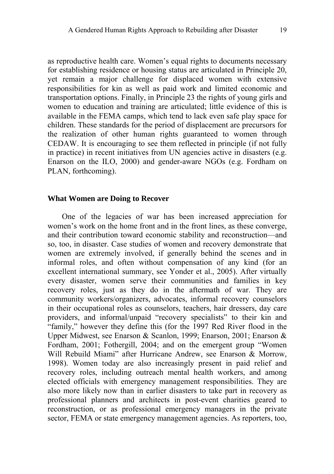as reproductive health care. Women's equal rights to documents necessary for establishing residence or housing status are articulated in Principle 20, yet remain a major challenge for displaced women with extensive responsibilities for kin as well as paid work and limited economic and transportation options. Finally, in Principle 23 the rights of young girls and women to education and training are articulated; little evidence of this is available in the FEMA camps, which tend to lack even safe play space for children. These standards for the period of displacement are precursors for the realization of other human rights guaranteed to women through CEDAW. It is encouraging to see them reflected in principle (if not fully in practice) in recent initiatives from UN agencies active in disasters (e.g. Enarson on the ILO, 2000) and gender-aware NGOs (e.g. Fordham on PLAN, forthcoming).

#### **What Women are Doing to Recover**

One of the legacies of war has been increased appreciation for women's work on the home front and in the front lines, as these converge, and their contribution toward economic stability and reconstruction—and so, too, in disaster. Case studies of women and recovery demonstrate that women are extremely involved, if generally behind the scenes and in informal roles, and often without compensation of any kind (for an excellent international summary, see Yonder et al., 2005). After virtually every disaster, women serve their communities and families in key recovery roles, just as they do in the aftermath of war. They are community workers/organizers, advocates, informal recovery counselors in their occupational roles as counselors, teachers, hair dressers, day care providers, and informal/unpaid "recovery specialists" to their kin and "family," however they define this (for the 1997 Red River flood in the Upper Midwest, see Enarson & Scanlon, 1999; Enarson, 2001; Enarson & Fordham, 2001; Fothergill, 2004; and on the emergent group "Women Will Rebuild Miami" after Hurricane Andrew, see Enarson & Morrow, 1998). Women today are also increasingly present in paid relief and recovery roles, including outreach mental health workers, and among elected officials with emergency management responsibilities. They are also more likely now than in earlier disasters to take part in recovery as professional planners and architects in post-event charities geared to reconstruction, or as professional emergency managers in the private sector, FEMA or state emergency management agencies. As reporters, too,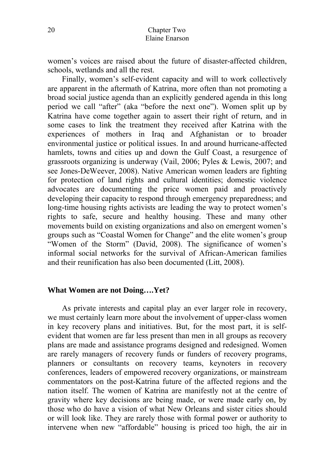women's voices are raised about the future of disaster-affected children, schools, wetlands and all the rest.

Finally, women's self-evident capacity and will to work collectively are apparent in the aftermath of Katrina, more often than not promoting a broad social justice agenda than an explicitly gendered agenda in this long period we call "after" (aka "before the next one"). Women split up by Katrina have come together again to assert their right of return, and in some cases to link the treatment they received after Katrina with the experiences of mothers in Iraq and Afghanistan or to broader environmental justice or political issues. In and around hurricane-affected hamlets, towns and cities up and down the Gulf Coast, a resurgence of grassroots organizing is underway (Vail, 2006; Pyles & Lewis, 2007; and see Jones-DeWeever, 2008). Native American women leaders are fighting for protection of land rights and cultural identities; domestic violence advocates are documenting the price women paid and proactively developing their capacity to respond through emergency preparedness; and long-time housing rights activists are leading the way to protect women's rights to safe, secure and healthy housing. These and many other movements build on existing organizations and also on emergent women's groups such as "Coastal Women for Change" and the elite women's group "Women of the Storm" (David, 2008). The significance of women's informal social networks for the survival of African-American families and their reunification has also been documented (Litt, 2008).

#### **What Women are not Doing….Yet?**

As private interests and capital play an ever larger role in recovery, we must certainly learn more about the involvement of upper-class women in key recovery plans and initiatives. But, for the most part, it is selfevident that women are far less present than men in all groups as recovery plans are made and assistance programs designed and redesigned. Women are rarely managers of recovery funds or funders of recovery programs, planners or consultants on recovery teams, keynoters in recovery conferences, leaders of empowered recovery organizations, or mainstream commentators on the post-Katrina future of the affected regions and the nation itself. The women of Katrina are manifestly not at the centre of gravity where key decisions are being made, or were made early on, by those who do have a vision of what New Orleans and sister cities should or will look like. They are rarely those with formal power or authority to intervene when new "affordable" housing is priced too high, the air in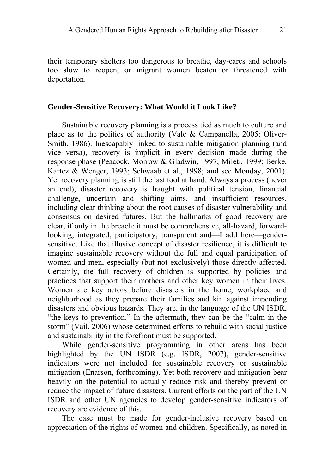their temporary shelters too dangerous to breathe, day-cares and schools too slow to reopen, or migrant women beaten or threatened with deportation.

#### **Gender-Sensitive Recovery: What Would it Look Like?**

Sustainable recovery planning is a process tied as much to culture and place as to the politics of authority (Vale & Campanella, 2005; Oliver-Smith, 1986). Inescapably linked to sustainable mitigation planning (and vice versa), recovery is implicit in every decision made during the response phase (Peacock, Morrow & Gladwin, 1997; Mileti, 1999; Berke, Kartez & Wenger, 1993; Schwaab et al., 1998; and see Monday, 2001). Yet recovery planning is still the last tool at hand. Always a process (never an end), disaster recovery is fraught with political tension, financial challenge, uncertain and shifting aims, and insufficient resources, including clear thinking about the root causes of disaster vulnerability and consensus on desired futures. But the hallmarks of good recovery are clear, if only in the breach: it must be comprehensive, all-hazard, forwardlooking, integrated, participatory, transparent and—I add here—gendersensitive. Like that illusive concept of disaster resilience, it is difficult to imagine sustainable recovery without the full and equal participation of women and men, especially (but not exclusively) those directly affected. Certainly, the full recovery of children is supported by policies and practices that support their mothers and other key women in their lives. Women are key actors before disasters in the home, workplace and neighborhood as they prepare their families and kin against impending disasters and obvious hazards. They are, in the language of the UN ISDR, "the keys to prevention." In the aftermath, they can be the "calm in the storm" (Vail, 2006) whose determined efforts to rebuild with social justice and sustainability in the forefront must be supported.

While gender-sensitive programming in other areas has been highlighted by the UN ISDR (e.g. ISDR, 2007), gender-sensitive indicators were not included for sustainable recovery or sustainable mitigation (Enarson, forthcoming). Yet both recovery and mitigation bear heavily on the potential to actually reduce risk and thereby prevent or reduce the impact of future disasters. Current efforts on the part of the UN ISDR and other UN agencies to develop gender-sensitive indicators of recovery are evidence of this.

The case must be made for gender-inclusive recovery based on appreciation of the rights of women and children. Specifically, as noted in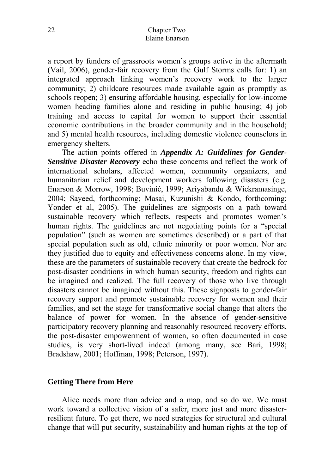a report by funders of grassroots women's groups active in the aftermath (Vail, 2006), gender-fair recovery from the Gulf Storms calls for: 1) an integrated approach linking women's recovery work to the larger community; 2) childcare resources made available again as promptly as schools reopen; 3) ensuring affordable housing, especially for low-income women heading families alone and residing in public housing; 4) job training and access to capital for women to support their essential economic contributions in the broader community and in the household; and 5) mental health resources, including domestic violence counselors in emergency shelters.

The action points offered in *Appendix A: Guidelines for Gender-Sensitive Disaster Recovery* echo these concerns and reflect the work of international scholars, affected women, community organizers, and humanitarian relief and development workers following disasters (e.g. Enarson & Morrow, 1998; Buvinić, 1999; Ariyabandu & Wickramasinge, 2004; Sayeed, forthcoming; Masai, Kuzunishi & Kondo, forthcoming; Yonder et al, 2005). The guidelines are signposts on a path toward sustainable recovery which reflects, respects and promotes women's human rights. The guidelines are not negotiating points for a "special population" (such as women are sometimes described) or a part of that special population such as old, ethnic minority or poor women. Nor are they justified due to equity and effectiveness concerns alone. In my view, these are the parameters of sustainable recovery that create the bedrock for post-disaster conditions in which human security, freedom and rights can be imagined and realized. The full recovery of those who live through disasters cannot be imagined without this. These signposts to gender-fair recovery support and promote sustainable recovery for women and their families, and set the stage for transformative social change that alters the balance of power for women. In the absence of gender-sensitive participatory recovery planning and reasonably resourced recovery efforts, the post-disaster empowerment of women, so often documented in case studies, is very short-lived indeed (among many, see Bari, 1998; Bradshaw, 2001; Hoffman, 1998; Peterson, 1997).

## **Getting There from Here**

Alice needs more than advice and a map, and so do we. We must work toward a collective vision of a safer, more just and more disasterresilient future. To get there, we need strategies for structural and cultural change that will put security, sustainability and human rights at the top of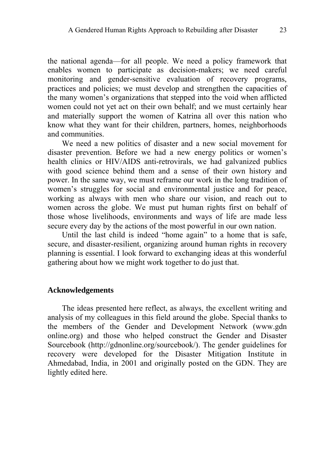the national agenda—for all people. We need a policy framework that enables women to participate as decision-makers; we need careful monitoring and gender-sensitive evaluation of recovery programs, practices and policies; we must develop and strengthen the capacities of the many women's organizations that stepped into the void when afflicted women could not yet act on their own behalf; and we must certainly hear and materially support the women of Katrina all over this nation who know what they want for their children, partners, homes, neighborhoods and communities.

We need a new politics of disaster and a new social movement for disaster prevention. Before we had a new energy politics or women's health clinics or HIV/AIDS anti-retrovirals, we had galvanized publics with good science behind them and a sense of their own history and power. In the same way, we must reframe our work in the long tradition of women's struggles for social and environmental justice and for peace, working as always with men who share our vision, and reach out to women across the globe. We must put human rights first on behalf of those whose livelihoods, environments and ways of life are made less secure every day by the actions of the most powerful in our own nation.

Until the last child is indeed "home again" to a home that is safe, secure, and disaster-resilient, organizing around human rights in recovery planning is essential. I look forward to exchanging ideas at this wonderful gathering about how we might work together to do just that.

#### **Acknowledgements**

The ideas presented here reflect, as always, the excellent writing and analysis of my colleagues in this field around the globe. Special thanks to the members of the Gender and Development Network (www.gdn online.org) and those who helped construct the Gender and Disaster Sourcebook (http://gdnonline.org/sourcebook/). The gender guidelines for recovery were developed for the Disaster Mitigation Institute in Ahmedabad, India, in 2001 and originally posted on the GDN. They are lightly edited here.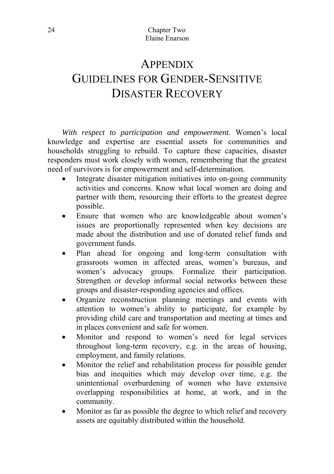# **APPENDIX** GUIDELINES FOR GENDER-SENSITIVE DISASTER RECOVERY

*With respect to participation and empowerment.* Women's local knowledge and expertise are essential assets for communities and households struggling to rebuild. To capture these capacities, disaster responders must work closely with women, remembering that the greatest need of survivors is for empowerment and self-determination.

- Integrate disaster mitigation initiatives into on-going community activities and concerns. Know what local women are doing and partner with them, resourcing their efforts to the greatest degree possible.
- Ensure that women who are knowledgeable about women's issues are proportionally represented when key decisions are made about the distribution and use of donated relief funds and government funds.
- Plan ahead for ongoing and long-term consultation with grassroots women in affected areas, women's bureaus, and women's advocacy groups. Formalize their participation. Strengthen or develop informal social networks between these groups and disaster-responding agencies and offices.
- Organize reconstruction planning meetings and events with attention to women's ability to participate, for example by providing child care and transportation and meeting at times and in places convenient and safe for women.
- Monitor and respond to women's need for legal services throughout long-term recovery, e.g. in the areas of housing, employment, and family relations.
- Monitor the relief and rehabilitation process for possible gender bias and inequities which may develop over time, e.g. the unintentional overburdening of women who have extensive overlapping responsibilities at home, at work, and in the community.
- Monitor as far as possible the degree to which relief and recovery assets are equitably distributed within the household.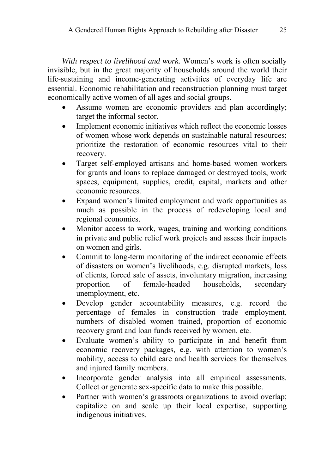*With respect to livelihood and work.* Women's work is often socially invisible, but in the great majority of households around the world their life-sustaining and income-generating activities of everyday life are essential. Economic rehabilitation and reconstruction planning must target economically active women of all ages and social groups.

- Assume women are economic providers and plan accordingly; target the informal sector.
- Implement economic initiatives which reflect the economic losses of women whose work depends on sustainable natural resources; prioritize the restoration of economic resources vital to their recovery.
- Target self-employed artisans and home-based women workers for grants and loans to replace damaged or destroyed tools, work spaces, equipment, supplies, credit, capital, markets and other economic resources.
- Expand women's limited employment and work opportunities as much as possible in the process of redeveloping local and regional economies.
- Monitor access to work, wages, training and working conditions in private and public relief work projects and assess their impacts on women and girls.
- Commit to long-term monitoring of the indirect economic effects of disasters on women's livelihoods, e.g. disrupted markets, loss of clients, forced sale of assets, involuntary migration, increasing proportion of female-headed households, secondary unemployment, etc.
- Develop gender accountability measures, e.g. record the percentage of females in construction trade employment, numbers of disabled women trained, proportion of economic recovery grant and loan funds received by women, etc.
- Evaluate women's ability to participate in and benefit from economic recovery packages, e.g. with attention to women's mobility, access to child care and health services for themselves and injured family members.
- Incorporate gender analysis into all empirical assessments. Collect or generate sex-specific data to make this possible.
- Partner with women's grassroots organizations to avoid overlap; capitalize on and scale up their local expertise, supporting indigenous initiatives.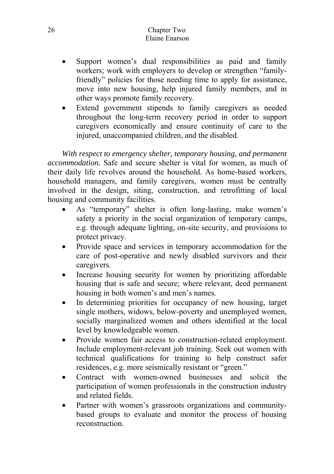#### 26 Chapter Two Elaine Enarson

- Support women's dual responsibilities as paid and family workers; work with employers to develop or strengthen "familyfriendly" policies for those needing time to apply for assistance. move into new housing, help injured family members, and in other ways promote family recovery.
- Extend government stipends to family caregivers as needed throughout the long-term recovery period in order to support caregivers economically and ensure continuity of care to the injured, unaccompanied children, and the disabled.

*With respect to emergency shelter, temporary housing, and permanent accommodation.* Safe and secure shelter is vital for women, as much of their daily life revolves around the household. As home-based workers, household managers, and family caregivers, women must be centrally involved in the design, siting, construction, and retrofitting of local housing and community facilities.

- As "temporary" shelter is often long-lasting, make women's safety a priority in the social organization of temporary camps, e.g. through adequate lighting, on-site security, and provisions to protect privacy.
- Provide space and services in temporary accommodation for the care of post-operative and newly disabled survivors and their caregivers.
- Increase housing security for women by prioritizing affordable housing that is safe and secure; where relevant, deed permanent housing in both women's and men's names.
- In determining priorities for occupancy of new housing, target single mothers, widows, below-poverty and unemployed women, socially marginalized women and others identified at the local level by knowledgeable women.
- Provide women fair access to construction-related employment. Include employment-relevant job training. Seek out women with technical qualifications for training to help construct safer residences, e.g. more seismically resistant or "green."
- Contract with women-owned businesses and solicit the participation of women professionals in the construction industry and related fields.
- Partner with women's grassroots organizations and communitybased groups to evaluate and monitor the process of housing reconstruction.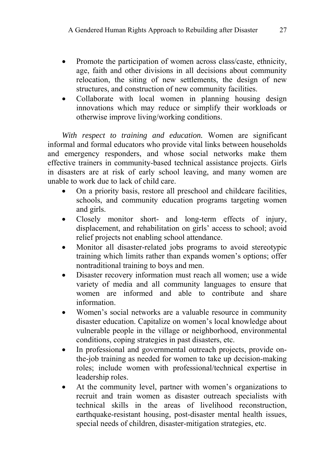- Promote the participation of women across class/caste, ethnicity, age, faith and other divisions in all decisions about community relocation, the siting of new settlements, the design of new structures, and construction of new community facilities.
- Collaborate with local women in planning housing design innovations which may reduce or simplify their workloads or otherwise improve living/working conditions.

*With respect to training and education.* Women are significant informal and formal educators who provide vital links between households and emergency responders, and whose social networks make them effective trainers in community-based technical assistance projects. Girls in disasters are at risk of early school leaving, and many women are unable to work due to lack of child care.

- On a priority basis, restore all preschool and childcare facilities, schools, and community education programs targeting women and girls.
- Closely monitor short- and long-term effects of injury, displacement, and rehabilitation on girls' access to school; avoid relief projects not enabling school attendance.
- Monitor all disaster-related jobs programs to avoid stereotypic training which limits rather than expands women's options; offer nontraditional training to boys and men.
- Disaster recovery information must reach all women; use a wide variety of media and all community languages to ensure that women are informed and able to contribute and share information.
- Women's social networks are a valuable resource in community disaster education. Capitalize on women's local knowledge about vulnerable people in the village or neighborhood, environmental conditions, coping strategies in past disasters, etc.
- In professional and governmental outreach projects, provide onthe-job training as needed for women to take up decision-making roles; include women with professional/technical expertise in leadership roles.
- At the community level, partner with women's organizations to recruit and train women as disaster outreach specialists with technical skills in the areas of livelihood reconstruction, earthquake-resistant housing, post-disaster mental health issues, special needs of children, disaster-mitigation strategies, etc.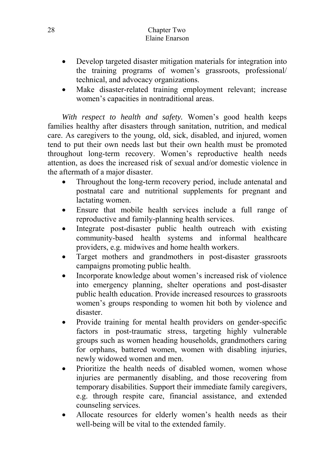#### 28 Chapter Two Elaine Enarson

- Develop targeted disaster mitigation materials for integration into the training programs of women's grassroots, professional/ technical, and advocacy organizations.
- Make disaster-related training employment relevant; increase women's capacities in nontraditional areas.

*With respect to health and safety.* Women's good health keeps families healthy after disasters through sanitation, nutrition, and medical care. As caregivers to the young, old, sick, disabled, and injured, women tend to put their own needs last but their own health must be promoted throughout long-term recovery. Women's reproductive health needs attention, as does the increased risk of sexual and/or domestic violence in the aftermath of a major disaster.

- Throughout the long-term recovery period, include antenatal and postnatal care and nutritional supplements for pregnant and lactating women.
- Ensure that mobile health services include a full range of reproductive and family-planning health services.
- Integrate post-disaster public health outreach with existing community-based health systems and informal healthcare providers, e.g. midwives and home health workers.
- Target mothers and grandmothers in post-disaster grassroots campaigns promoting public health.
- Incorporate knowledge about women's increased risk of violence into emergency planning, shelter operations and post-disaster public health education. Provide increased resources to grassroots women's groups responding to women hit both by violence and disaster.
- Provide training for mental health providers on gender-specific factors in post-traumatic stress, targeting highly vulnerable groups such as women heading households, grandmothers caring for orphans, battered women, women with disabling injuries, newly widowed women and men.
- Prioritize the health needs of disabled women, women whose injuries are permanently disabling, and those recovering from temporary disabilities. Support their immediate family caregivers, e.g. through respite care, financial assistance, and extended counseling services.
- Allocate resources for elderly women's health needs as their well-being will be vital to the extended family.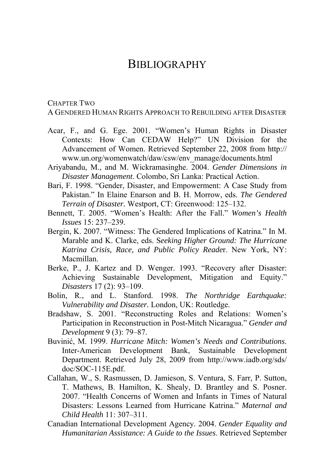## **BIBLIOGRAPHY**

#### CHAPTER TWO

A GENDERED HUMAN RIGHTS APPROACH TO REBUILDING AFTER DISASTER

- Acar, F., and G. Ege. 2001. "Women's Human Rights in Disaster Contexts: How Can CEDAW Help?" UN Division for the Advancement of Women. Retrieved September 22, 2008 from http:// www.un.org/womenwatch/daw/csw/env\_manage/documents.html
- Ariyabandu, M., and M. Wickramasinghe. 2004. *Gender Dimensions in Disaster Management*. Colombo, Sri Lanka: Practical Action.
- Bari, F. 1998. "Gender, Disaster, and Empowerment: A Case Study from Pakistan." In Elaine Enarson and B. H. Morrow, eds. *The Gendered Terrain of Disaster.* Westport, CT: Greenwood: 125–132.
- Bennett, T. 2005. "Women's Health: After the Fall." *Women's Health Issues* 15: 237–239.
- Bergin, K. 2007. "Witness: The Gendered Implications of Katrina." In M. Marable and K. Clarke, eds. S*eeking Higher Ground: The Hurricane Katrina Crisis, Race, and Public Policy Reade*r. New York, NY: Macmillan.
- Berke, P., J. Kartez and D. Wenger. 1993. "Recovery after Disaster: Achieving Sustainable Development, Mitigation and Equity." *Disasters* 17 (2): 93–109.
- Bolin, R., and L. Stanford. 1998. *The Northridge Earthquake: Vulnerability and Disaster.* London, UK: Routledge.
- Bradshaw, S. 2001. "Reconstructing Roles and Relations: Women's Participation in Reconstruction in Post-Mitch Nicaragua." *Gender and Development* 9 (3): 79–87.
- Buvinić, M. 1999. *Hurricane Mitch: Women's Needs and Contributions*. Inter-American Development Bank, Sustainable Development Department. Retrieved July 28, 2009 from http://www.iadb.org/sds/ doc/SOC-115E.pdf.
- Callahan, W., S. Rasmussen, D. Jamieson, S. Ventura, S. Farr, P. Sutton, T. Mathews, B. Hamilton, K. Shealy, D. Brantley and S. Posner. 2007. "Health Concerns of Women and Infants in Times of Natural Disasters: Lessons Learned from Hurricane Katrina." *Maternal and Child Health* 11: 307–311.
- Canadian International Development Agency. 2004. *Gender Equality and Humanitarian Assistance: A Guide to the Issues*. Retrieved September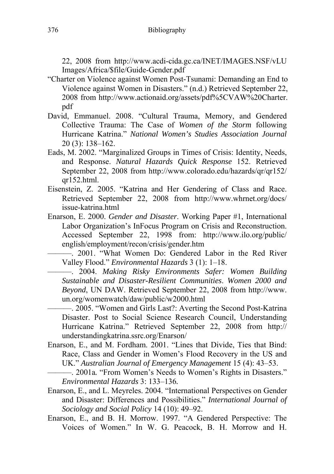22, 2008 from http://www.acdi-cida.gc.ca/INET/IMAGES.NSF/vLU Images/Africa/\$file/Guide-Gender.pdf

- "Charter on Violence against Women Post-Tsunami: Demanding an End to Violence against Women in Disasters." (n.d.) Retrieved September 22, 2008 from http://www.actionaid.org/assets/pdf%5CVAW%20Charter. pdf
- David, Emmanuel. 2008. "Cultural Trauma, Memory, and Gendered Collective Trauma: The Case of *Women of the Storm* following Hurricane Katrina." *National Women's Studies Association Journal* 20 (3): 138–162.
- Eads, M. 2002. "Marginalized Groups in Times of Crisis: Identity, Needs, and Response. *Natural Hazards Quick Response* 152. Retrieved September 22, 2008 from http://www.colorado.edu/hazards/qr/qr152/ qr152.html.
- Eisenstein, Z. 2005. "Katrina and Her Gendering of Class and Race. Retrieved September 22, 2008 from http://www.whrnet.org/docs/ issue-katrina.html
- Enarson, E. 2000. *Gender and Disaster*. Working Paper #1, International Labor Organization's InFocus Program on Crisis and Reconstruction. Accessed September 22, 1998 from: http://www.ilo.org/public/ english/employment/recon/crisis/gender.htm

———. 2001. "What Women Do: Gendered Labor in the Red River Valley Flood." *Environmental Hazards* 3 (1): 1–18.

———. 2004. *Making Risky Environments Safer: Women Building Sustainable and Disaster-Resilient Communities*. *Women 2000 and Beyond*, UN DAW. Retrieved September 22, 2008 from http://www. un.org/womenwatch/daw/public/w2000.html

———. 2005. "Women and Girls Last?: Averting the Second Post-Katrina Disaster. Post to Social Science Research Council, Understanding Hurricane Katrina." Retrieved September 22, 2008 from http:// understandingkatrina.ssrc.org/Enarson/

Enarson, E., and M. Fordham. 2001. "Lines that Divide, Ties that Bind: Race, Class and Gender in Women's Flood Recovery in the US and UK." *Australian Journal of Emergency Management* 15 (4): 43–53.

———. 2001a*.* "From Women's Needs to Women's Rights in Disasters." *Environmental Hazards* 3: 133–136*.* 

- Enarson, E., and L. Meyreles. 2004. "International Perspectives on Gender and Disaster: Differences and Possibilities." *International Journal of Sociology and Social Policy* 14 (10): 49–92.
- Enarson, E., and B. H. Morrow. 1997. "A Gendered Perspective: The Voices of Women." In W. G. Peacock, B. H. Morrow and H.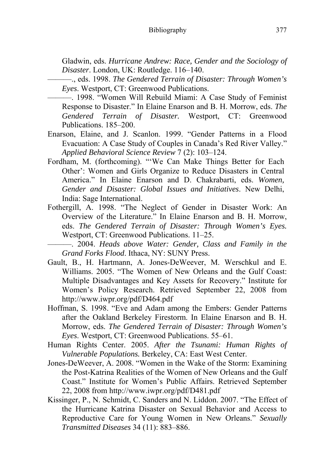Gladwin, eds. *Hurricane Andrew: Race, Gender and the Sociology of Disaster*. London, UK: Routledge. 116–140.

- ———., eds. 1998. *The Gendered Terrain of Disaster: Through Women's Eyes*. Westport, CT: Greenwood Publications.
- ———. 1998. "Women Will Rebuild Miami: A Case Study of Feminist Response to Disaster." In Elaine Enarson and B. H. Morrow, eds. *The Gendered Terrain of Disaster.* Westport, CT: Greenwood Publications. 185–200.
- Enarson, Elaine, and J. Scanlon. 1999. "Gender Patterns in a Flood Evacuation: A Case Study of Couples in Canada's Red River Valley." *Applied Behavioral Science Review* 7 (2): 103–124.
- Fordham, M. (forthcoming). "'We Can Make Things Better for Each Other': Women and Girls Organize to Reduce Disasters in Central America." In Elaine Enarson and D. Chakrabarti, eds. *Women, Gender and Disaster: Global Issues and Initiatives*. New Delhi, India: Sage International.
- Fothergill, A. 1998. "The Neglect of Gender in Disaster Work: An Overview of the Literature." In Elaine Enarson and B. H. Morrow, eds. *The Gendered Terrain of Disaster: Through Women's Eyes.* Westport, CT: Greenwood Publications. 11–25.

———. 2004. *Heads above Water: Gender, Class and Family in the Grand Forks Flood*. Ithaca, NY: SUNY Press.

- Gault, B., H. Hartmann, A. Jones-DeWeever, M. Werschkul and E. Williams. 2005. "The Women of New Orleans and the Gulf Coast: Multiple Disadvantages and Key Assets for Recovery." Institute for Women's Policy Research. Retrieved September 22, 2008 from http://www.iwpr.org/pdf/D464.pdf
- Hoffman, S. 1998. "Eve and Adam among the Embers: Gender Patterns after the Oakland Berkeley Firestorm. In Elaine Enarson and B. H. Morrow, eds. *The Gendered Terrain of Disaster: Through Women's Eyes*. Westport, CT: Greenwood Publications. 55–61.
- Human Rights Center. 2005. *After the Tsunami: Human Rights of Vulnerable Populations.* Berkeley, CA: East West Center.
- Jones-DeWeever, A. 2008. "Women in the Wake of the Storm: Examining the Post-Katrina Realities of the Women of New Orleans and the Gulf Coast." Institute for Women's Public Affairs. Retrieved September 22, 2008 from http://www.iwpr.org/pdf/D481.pdf
- Kissinger, P., N. Schmidt, C. Sanders and N. Liddon. 2007. "The Effect of the Hurricane Katrina Disaster on Sexual Behavior and Access to Reproductive Care for Young Women in New Orleans." *Sexually Transmitted Diseases* 34 (11): 883–886.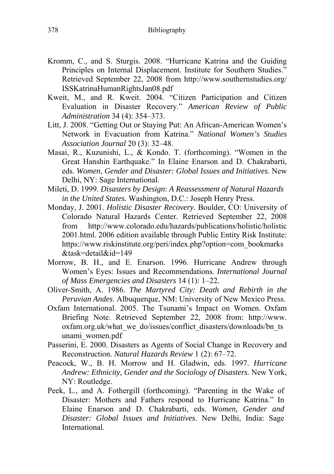- Kromm, C., and S. Sturgis. 2008. "Hurricane Katrina and the Guiding Principles on Internal Displacement. Institute for Southern Studies." Retrieved September 22, 2008 from http://www.southernstudies.org/ ISSKatrinaHumanRightsJan08.pdf
- Kweit, M., and R. Kweit. 2004. "Citizen Participation and Citizen Evaluation in Disaster Recovery." *American Review of Public Administration* 34 (4): 354–373.
- Litt, J. 2008. "Getting Out or Staying Put: An African-American Women's Network in Evacuation from Katrina." *National Women's Studies Association Journal* 20 (3): 32–48.
- Masai, R., Kuzunishi, L., & Kondo. T. (forthcoming). "Women in the Great Hanshin Earthquake." In Elaine Enarson and D. Chakrabarti, eds. *Women, Gender and Disaster: Global Issues and Initiatives*. New Delhi, NY: Sage International.
- Mileti, D. 1999. *Disasters by Design*: *A Reassessment of Natural Hazards in the United States.* Washington, D.C.: Joseph Henry Press.
- Monday, J. 2001. *Holistic Disaster Recovery*. Boulder, CO: University of Colorado Natural Hazards Center. Retrieved September 22, 2008 from http://www.colorado.edu/hazards/publications/holistic/holistic 2001.html. 2006 edition available through Public Entity Risk Institute: https://www.riskinstitute.org/peri/index.php?option=com\_bookmarks &task=detail&id=149
- Morrow, B. H., and E. Enarson. 1996. Hurricane Andrew through Women's Eyes: Issues and Recommendations*. International Journal of Mass Emergencies and Disasters* 14 (1): 1–22.
- Oliver-Smith, A. 1986. *The Martyred City: Death and Rebirth in the Peruvian Andes*. Albuquerque, NM: University of New Mexico Press.
- Oxfam International. 2005. The Tsunami's Impact on Women. Oxfam Briefing Note. Retrieved September 22, 2008 from: http://www. oxfam.org.uk/what\_we\_do/issues/conflict\_disasters/downloads/bn\_ts unami\_women.pdf
- Passerini, E. 2000. Disasters as Agents of Social Change in Recovery and Reconstruction. *Natural Hazards Review* 1 (2): 67–72.
- Peacock, W., B. H. Morrow and H. Gladwin, eds. 1997. *Hurricane Andrew: Ethnicity, Gender and the Sociology of Disasters*. New York, NY: Routledge.
- Peek, L., and A. Fothergill (forthcoming). "Parenting in the Wake of Disaster: Mothers and Fathers respond to Hurricane Katrina." In Elaine Enarson and D. Chakrabarti, eds. *Women, Gender and Disaster: Global Issues and Initiatives*. New Delhi, India: Sage **International**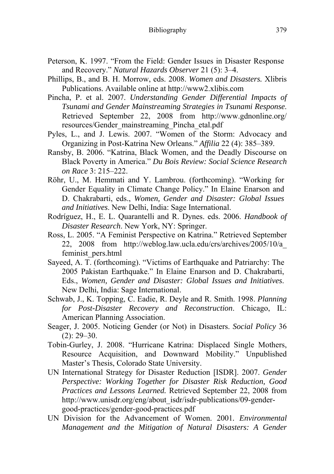- Peterson, K. 1997. "From the Field: Gender Issues in Disaster Response and Recovery." *Natural Hazards Observer* 21 (5): 3–4.
- Phillips, B., and B. H. Morrow, eds. 2008. *Women and Disasters.* Xlibris Publications. Available online at http://www2.xlibis.com
- Pincha, P. et al. 2007. *Understanding Gender Differential Impacts of Tsunami and Gender Mainstreaming Strategies in Tsunami Response*. Retrieved September 22, 2008 from http://www.gdnonline.org/ resources/Gender\_mainstreaming\_Pincha\_etal.pdf
- Pyles, L., and J. Lewis. 2007. "Women of the Storm: Advocacy and Organizing in Post-Katrina New Orleans." *Affilia* 22 (4): 385–389.
- Ransby, B. 2006. "Katrina, Black Women, and the Deadly Discourse on Black Poverty in America." *Du Bois Review: Social Science Research on Race* 3: 215–222.
- Röhr, U., M. Hemmati and Y. Lambrou. (forthcoming). "Working for Gender Equality in Climate Change Policy." In Elaine Enarson and D. Chakrabarti, eds., *Women, Gender and Disaster: Global Issues and Initiatives*. New Delhi, India: Sage International.
- Rodríguez, H., E. L. Quarantelli and R. Dynes. eds. 2006. *Handbook of Disaster Research*. New York, NY: Springer.
- Ross, L. 2005. "A Feminist Perspective on Katrina." Retrieved September 22, 2008 from http://weblog.law.ucla.edu/crs/archives/2005/10/a\_ feminist\_pers.html
- Sayeed, A. T. (forthcoming). "Victims of Earthquake and Patriarchy: The 2005 Pakistan Earthquake." In Elaine Enarson and D. Chakrabarti, Eds., *Women, Gender and Disaster: Global Issues and Initiatives*. New Delhi, India: Sage International.
- Schwab, J., K. Topping, C. Eadie, R. Deyle and R. Smith. 1998. *Planning for Post-Disaster Recovery and Reconstruction*. Chicago, IL: American Planning Association.
- Seager, J. 2005. Noticing Gender (or Not) in Disasters. *Social Policy* 36  $(2): 29 - 30.$
- Tobin-Gurley, J. 2008. "Hurricane Katrina: Displaced Single Mothers, Resource Acquisition, and Downward Mobility." Unpublished Master's Thesis, Colorado State University.
- UN International Strategy for Disaster Reduction [ISDR]. 2007. *Gender Perspective: Working Together for Disaster Risk Reduction, Good Practices and Lessons Learned.* Retrieved September 22, 2008 from http://www.unisdr.org/eng/about\_isdr/isdr-publications/09-gendergood-practices/gender-good-practices.pdf
- UN Division for the Advancement of Women. 2001*. Environmental Management and the Mitigation of Natural Disasters: A Gender*